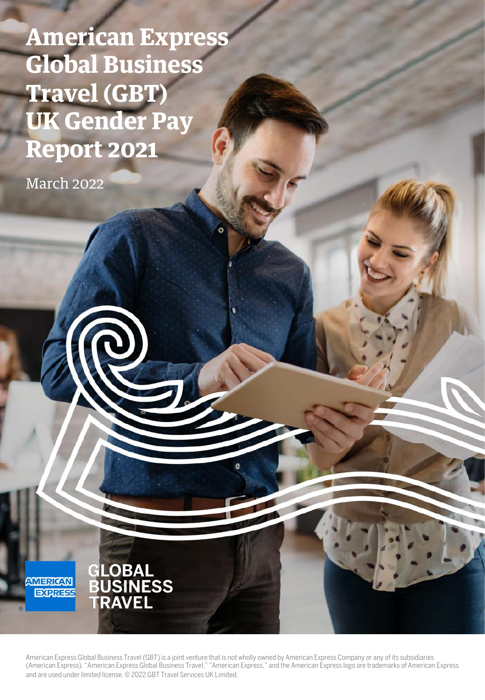**American Express Global Business Travel (GBT) UK Gender Pay Report 2021**

March 2022



American Express Global Business Travel (GBT) is a joint venture that is not wholly owned by American Express Company or any of its subsidiaries (American Express). "American Express Global Business Travel," "American Express," and the American Express logo are trademarks of American Express and are used under limited license. © 2022 GBT Travel Services UK Limited.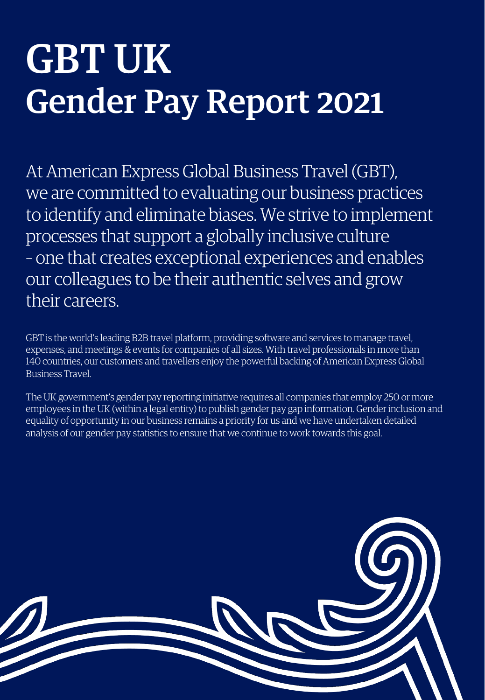## GBT UK Gender Pay Report 2021

At American Express Global Business Travel (GBT), we are committed to evaluating our business practices to identify and eliminate biases. We strive to implement processes that support a globally inclusive culture – one that creates exceptional experiences and enables our colleagues to be their authentic selves and grow their careers.

GBT is the world's leading B2B travel platform, providing software and services to manage travel, expenses, and meetings & events for companies of all sizes. With travel professionals in more than 140 countries, our customers and travellers enjoy the powerful backing of American Express Global Business Travel.

The UK government's gender pay reporting initiative requires all companies that employ 250 or more employees in the UK (within a legal entity) to publish gender pay gap information. Gender inclusion and equality of opportunity in our business remains a priority for us and we have undertaken detailed analysis of our gender pay statistics to ensure that we continue to work towards this goal.

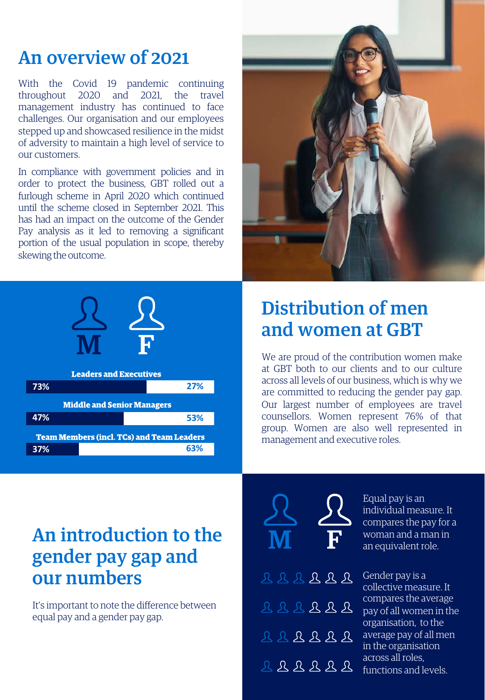#### An overview of 2021

With the Covid 19 pandemic continuing throughout 2020 and 2021, the travel management industry has continued to face challenges. Our organisation and our employees stepped up and showcased resilience in the midst of adversity to maintain a high level of service to our customers.

In compliance with government policies and in order to protect the business, GBT rolled out a furlough scheme in April 2020 which continued until the scheme closed in September 2021. This has had an impact on the outcome of the Gender Pay analysis as it led to removing a significant portion of the usual population in scope, thereby skewing the outcome.





#### Distribution of men and women at GBT

We are proud of the contribution women make at GBT both to our clients and to our culture across all levels of our business, which is why we are committed to reducing the gender pay gap. Our largest number of employees are travel counsellors. Women represent 76% of that group. Women are also well represented in management and executive roles.

#### An introduction to the gender pay gap and our numbers

It's important to note the difference between equal pay and a gender pay gap.

| $\mathcal{S}$<br>$\mathbf{M}$ |  |                                                                            | $\overline{\mathcal{L}}$<br>${\bf F}$ . |  |  |
|-------------------------------|--|----------------------------------------------------------------------------|-----------------------------------------|--|--|
|                               |  | BRRRRR                                                                     |                                         |  |  |
|                               |  | $77777777$                                                                 |                                         |  |  |
|                               |  | $222222$                                                                   |                                         |  |  |
|                               |  | $\begin{array}{ccccccccccccccccc}\n0 & 0 & 0 & 0 & 0 & 0 & 0\n\end{array}$ |                                         |  |  |

Equal pay is an individual measure. It compares the pay for a woman and a man in an equivalent role.

Gender pay is a collective measure. It compares the average pay of all women in the organisation, to the average pay of all men in the organisation across all roles, functions and levels.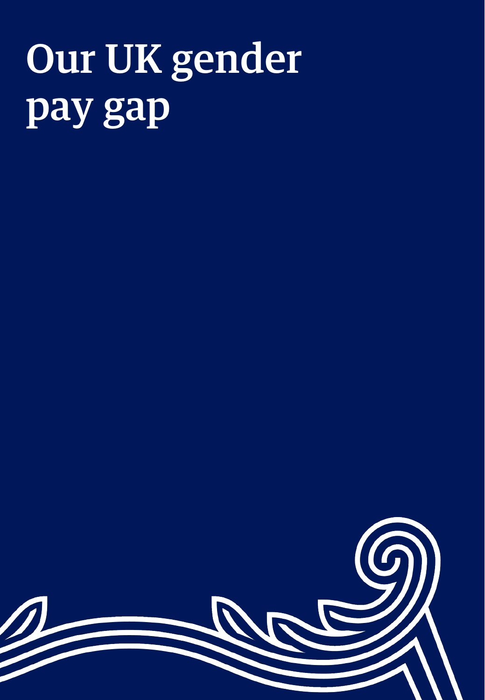# Our UK gender pay gap

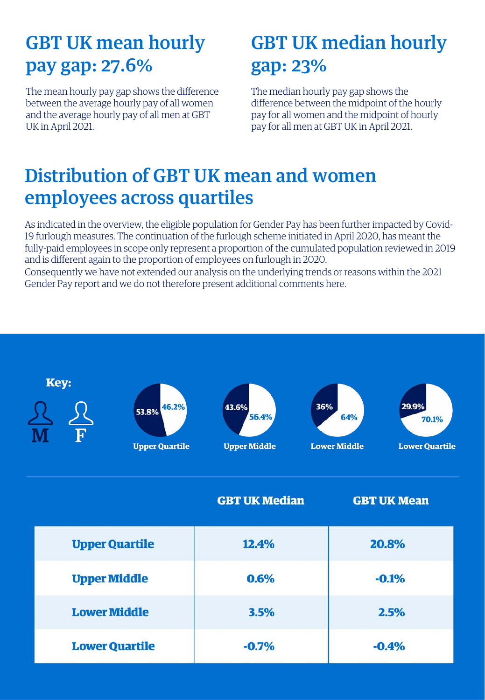#### GBT UK mean hourly pay gap: 27.6%

The mean hourly pay gap shows the difference between the average hourly pay of all women and the average hourly pay of all men at GBT UK in April 2021.

#### GBT UK median hourly gap: 23%

The median hourly pay gap shows the difference between the midpoint of the hourly pay for all women and the midpoint of hourly pay for all men at GBT UK in April 2021.

#### Distribution of GBT UK mean and women employees across quartiles

As indicated in the overview, the eligible population for Gender Pay has been further impacted by Covid-19 furlough measures. The continuation of the furlough scheme initiated in April 2020, has meant the fully-paid employees in scope only represent a proportion of the cumulated population reviewed in 2019 and is different again to the proportion of employees on furlough in 2020.

Consequently we have not extended our analysis on the underlying trends or reasons within the 2021 Gender Pay report and we do not therefore present additional comments here.

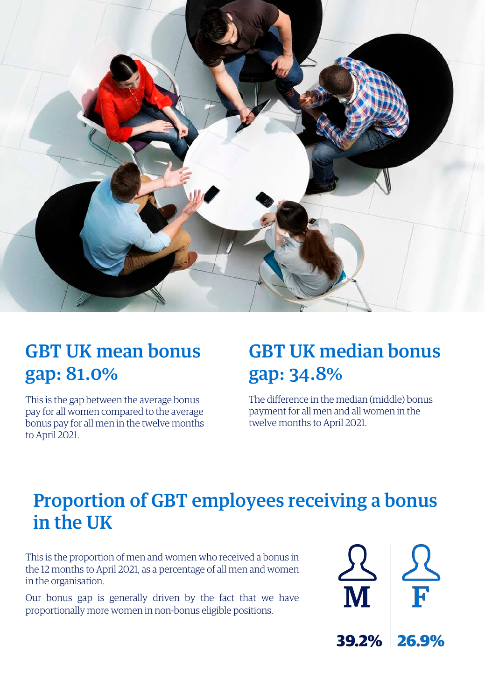

#### GBT UK mean bonus gap: 81.0%

This is the gap between the average bonus pay for all women compared to the average bonus pay for all men in the twelve months to April 2021.

#### GBT UK median bonus gap: 34.8%

The difference in the median (middle) bonus payment for all men and all women in the twelve months to April 2021.

#### Proportion of GBT employees receiving a bonus in the UK

This is the proportion of men and women who received a bonus in the 12 months to April 2021, as a percentage of all men and women in the organisation.

Our bonus gap is generally driven by the fact that we have proportionally more women in non-bonus eligible positions.

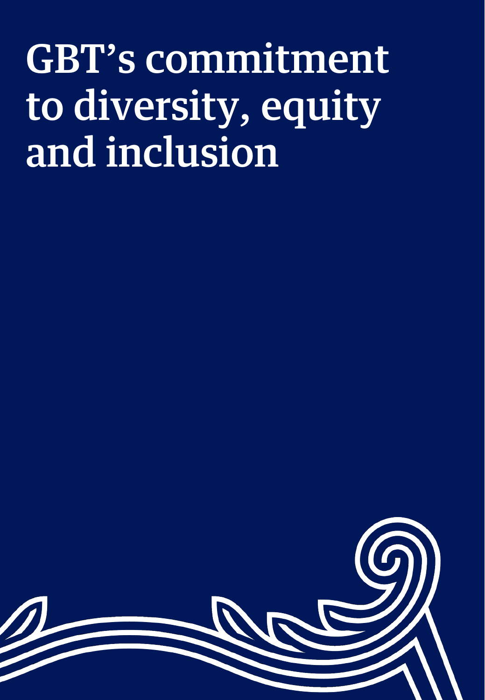## GBT's commitment to diversity, equity and inclusion

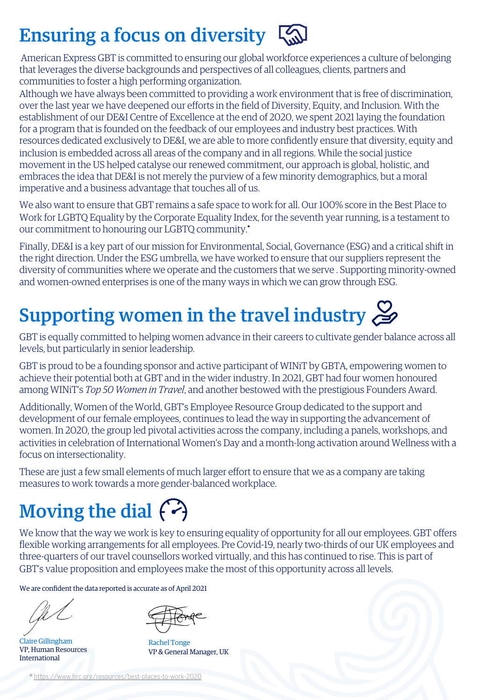#### Ensuring a focus on diversity  $\sqrt{\omega}$

American Express GBT is committed to ensuring our global workforce experiences a culture of belonging that leverages the diverse backgrounds and perspectives of all colleagues, clients, partners and communities to foster a high performing organization.

Although we have always been committed to providing a work environment that is free of discrimination, over the last year we have deepened our efforts in the field of Diversity, Equity, and Inclusion. With the establishment of our DE&I Centre of Excellence at the end of 2020, we spent 2021 laying the foundation for a program that is founded on the feedback of our employees and industry best practices. With resources dedicated exclusively to DE&I, we are able to more confidently ensure that diversity, equity and inclusion is embedded across all areas of the company and in all regions. While the social justice movement in the US helped catalyse our renewed commitment, our approach is global, holistic, and embraces the idea that DE&I is not merely the purview of a few minority demographics, but a moral imperative and a business advantage that touches all of us.

We also want to ensure that GBT remains a safe space to work for all. Our 100% score in the Best Place to Work for LGBTQ Equality by the Corporate Equality Index, for the seventh year running, is a testament to our commitment to honouring our LGBTQ community.**\***

Finally, DE&I is a key part of our mission for Environmental, Social, Governance (ESG) and a critical shift in the right direction. Under the ESG umbrella, we have worked to ensure that our suppliers represent the diversity of communities where we operate and the customers that we serve . Supporting minority-owned and women-owned enterprises is one of the many ways in which we can grow through ESG.

### Supporting women in the travel industry  $\mathcal{L}$

GBT is equally committed to helping women advance in their careers to cultivate gender balance across all levels, but particularly in senior leadership.

GBT is proud to be a founding sponsor and active participant of WINiT by GBTA, empowering women to achieve their potential both at GBT and in the wider industry. In 2021, GBT had four women honoured among WINiT's *Top 50 Women in Travel*, and another bestowed with the prestigious Founders Award.

Additionally, Women of the World, GBT's Employee Resource Group dedicated to the support and development of our female employees, continues to lead the way in supporting the advancement of women. In 2020, the group led pivotal activities across the company, including a panels, workshops, and activities in celebration of International Women's Day and a month-long activation around Wellness with a focus on intersectionality.

These are just a few small elements of much larger effort to ensure that we as a company are taking measures to work towards a more gender-balanced workplace.

### Moving the dial  $\langle \cdot \rangle$

We know that the way we work is key to ensuring equality of opportunity for all our employees. GBT offers flexible working arrangements for all employees. Pre Covid-19, nearly two-thirds of our UK employees and three-quarters of our travel counsellors worked virtually, and this has continued to rise. This is part of GBT's value proposition and employees make the most of this opportunity across all levels.

We are confident the data reported is accurate as of April 2021

Claire Gillingham VP, Human Resources International

Rachel Tonge VP & General Manager, UK

**\*** <https://www.hrc.org/resources/best-places-to-work-2020>